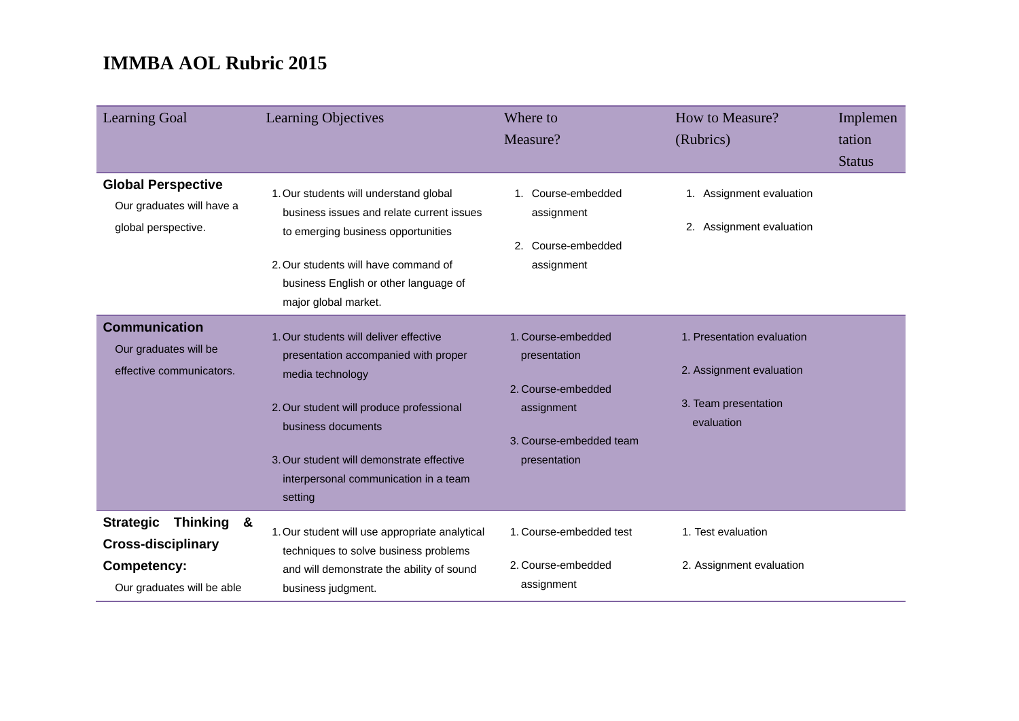| <b>Learning Goal</b>                                                                                                          | Learning Objectives                                                                                                                                                                                                                                                   | Where to<br>Measure?                                                                                              | How to Measure?<br>(Rubrics)                                                                 | Implemen<br>tation<br><b>Status</b> |
|-------------------------------------------------------------------------------------------------------------------------------|-----------------------------------------------------------------------------------------------------------------------------------------------------------------------------------------------------------------------------------------------------------------------|-------------------------------------------------------------------------------------------------------------------|----------------------------------------------------------------------------------------------|-------------------------------------|
| <b>Global Perspective</b><br>Our graduates will have a<br>global perspective.                                                 | 1. Our students will understand global<br>business issues and relate current issues<br>to emerging business opportunities<br>2. Our students will have command of<br>business English or other language of<br>major global market.                                    | 1. Course-embedded<br>assignment<br>2. Course-embedded<br>assignment                                              | 1. Assignment evaluation<br>2. Assignment evaluation                                         |                                     |
| <b>Communication</b><br>Our graduates will be<br>effective communicators.                                                     | 1. Our students will deliver effective<br>presentation accompanied with proper<br>media technology<br>2. Our student will produce professional<br>business documents<br>3. Our student will demonstrate effective<br>interpersonal communication in a team<br>setting | 1. Course-embedded<br>presentation<br>2. Course-embedded<br>assignment<br>3. Course-embedded team<br>presentation | 1. Presentation evaluation<br>2. Assignment evaluation<br>3. Team presentation<br>evaluation |                                     |
| <b>Strategic</b><br><b>Thinking</b><br><u>&amp;</u><br><b>Cross-disciplinary</b><br>Competency:<br>Our graduates will be able | 1. Our student will use appropriate analytical<br>techniques to solve business problems<br>and will demonstrate the ability of sound<br>business judgment.                                                                                                            | 1. Course-embedded test<br>2. Course-embedded<br>assignment                                                       | 1. Test evaluation<br>2. Assignment evaluation                                               |                                     |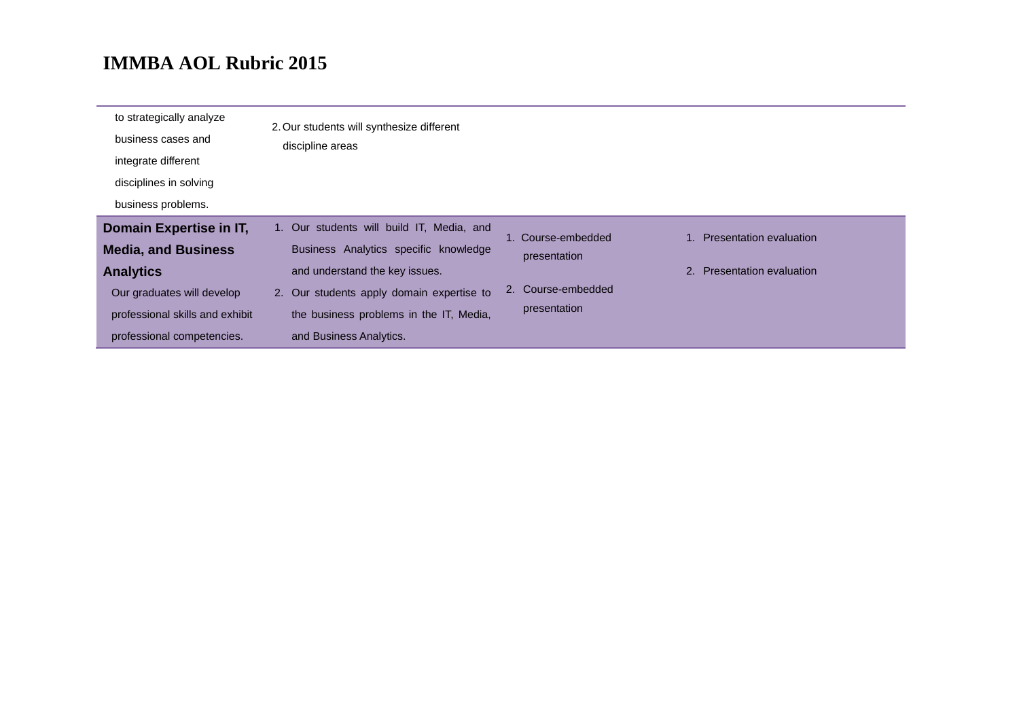| to strategically analyze<br>business cases and<br>integrate different<br>disciplines in solving<br>business problems.                                                    | 2. Our students will synthesize different<br>discipline areas                                                                                                                                                                           |                                                                          |                                                          |
|--------------------------------------------------------------------------------------------------------------------------------------------------------------------------|-----------------------------------------------------------------------------------------------------------------------------------------------------------------------------------------------------------------------------------------|--------------------------------------------------------------------------|----------------------------------------------------------|
| Domain Expertise in IT,<br><b>Media, and Business</b><br><b>Analytics</b><br>Our graduates will develop<br>professional skills and exhibit<br>professional competencies. | 1. Our students will build IT, Media, and<br>Business Analytics specific knowledge<br>and understand the key issues.<br>2. Our students apply domain expertise to<br>the business problems in the IT, Media,<br>and Business Analytics. | 1. Course-embedded<br>presentation<br>2. Course-embedded<br>presentation | 1. Presentation evaluation<br>2. Presentation evaluation |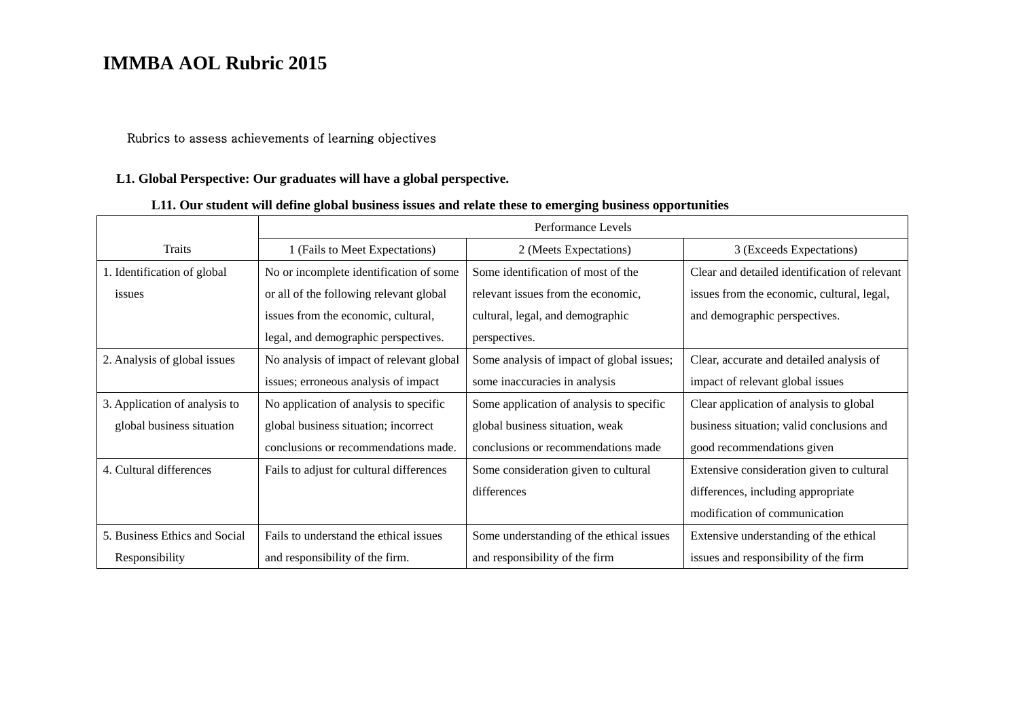### Rubrics to assess achievements of learning objectives

### **L1. Global Perspective: Our graduates will have a global perspective.**

### **L11. Our student will define global business issues and relate these to emerging business opportunities**

|                               | Performance Levels                       |                                           |                                               |
|-------------------------------|------------------------------------------|-------------------------------------------|-----------------------------------------------|
| Traits                        | 1 (Fails to Meet Expectations)           | 2 (Meets Expectations)                    | 3 (Exceeds Expectations)                      |
| 1. Identification of global   | No or incomplete identification of some  | Some identification of most of the        | Clear and detailed identification of relevant |
| issues                        | or all of the following relevant global  | relevant issues from the economic,        | issues from the economic, cultural, legal,    |
|                               | issues from the economic, cultural,      | cultural, legal, and demographic          | and demographic perspectives.                 |
|                               | legal, and demographic perspectives.     | perspectives.                             |                                               |
| 2. Analysis of global issues  | No analysis of impact of relevant global | Some analysis of impact of global issues; | Clear, accurate and detailed analysis of      |
|                               | issues; erroneous analysis of impact     | some inaccuracies in analysis             | impact of relevant global issues              |
| 3. Application of analysis to | No application of analysis to specific   | Some application of analysis to specific  | Clear application of analysis to global       |
| global business situation     | global business situation; incorrect     | global business situation, weak           | business situation; valid conclusions and     |
|                               | conclusions or recommendations made.     | conclusions or recommendations made       | good recommendations given                    |
| 4. Cultural differences       | Fails to adjust for cultural differences | Some consideration given to cultural      | Extensive consideration given to cultural     |
|                               |                                          | differences                               | differences, including appropriate            |
|                               |                                          |                                           | modification of communication                 |
| 5. Business Ethics and Social | Fails to understand the ethical issues   | Some understanding of the ethical issues  | Extensive understanding of the ethical        |
| Responsibility                | and responsibility of the firm.          | and responsibility of the firm            | issues and responsibility of the firm         |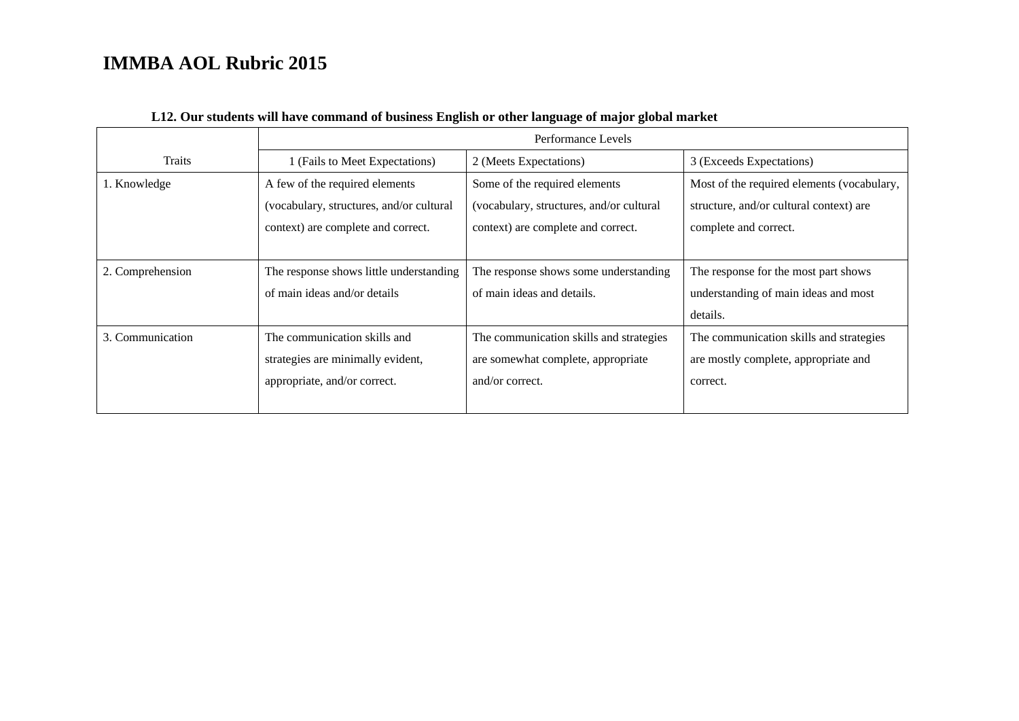|                  | Performance Levels                                                         |                                                                            |                                                                                       |  |
|------------------|----------------------------------------------------------------------------|----------------------------------------------------------------------------|---------------------------------------------------------------------------------------|--|
| Traits           | 1 (Fails to Meet Expectations)                                             | 2 (Meets Expectations)                                                     | 3 (Exceeds Expectations)                                                              |  |
| 1. Knowledge     | A few of the required elements<br>(vocabulary, structures, and/or cultural | Some of the required elements<br>(vocabulary, structures, and/or cultural) | Most of the required elements (vocabulary,<br>structure, and/or cultural context) are |  |
|                  | context) are complete and correct.                                         | context) are complete and correct.                                         | complete and correct.                                                                 |  |
| 2. Comprehension | The response shows little understanding                                    | The response shows some understanding                                      | The response for the most part shows                                                  |  |
|                  | of main ideas and/or details                                               | of main ideas and details.                                                 | understanding of main ideas and most                                                  |  |
|                  |                                                                            |                                                                            | details.                                                                              |  |
| 3. Communication | The communication skills and                                               | The communication skills and strategies                                    | The communication skills and strategies                                               |  |
|                  | strategies are minimally evident,                                          | are somewhat complete, appropriate                                         | are mostly complete, appropriate and                                                  |  |
|                  | appropriate, and/or correct.                                               | and/or correct.                                                            | correct.                                                                              |  |
|                  |                                                                            |                                                                            |                                                                                       |  |

### **L12. Our students will have command of business English or other language of major global market**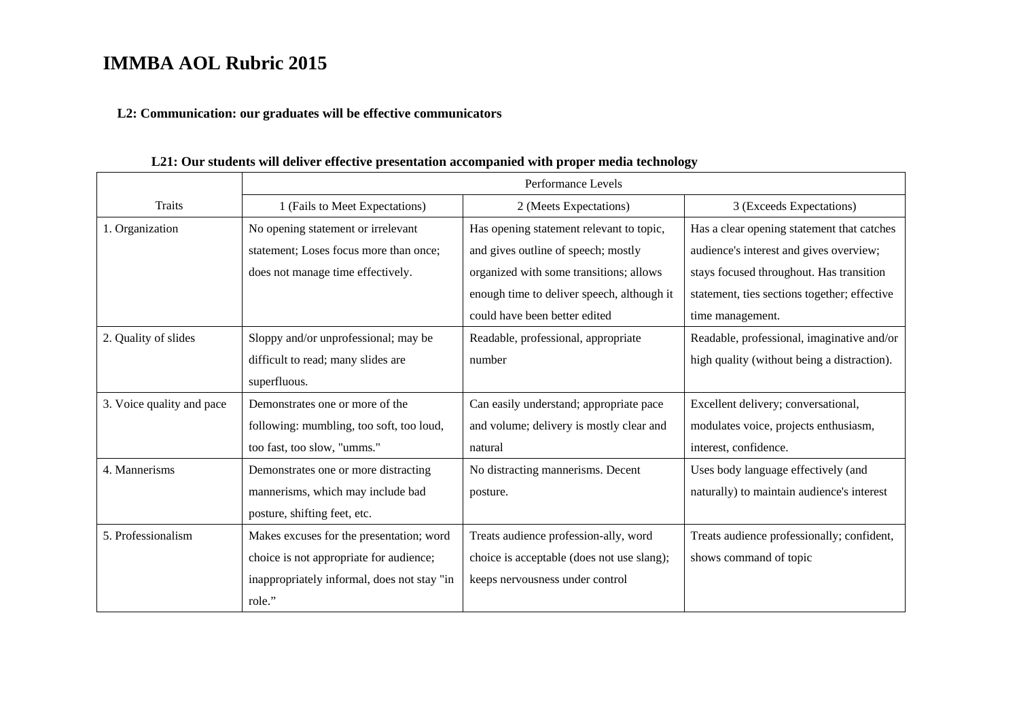#### **L2: Communication: our graduates will be effective communicators**

Traits Performance Levels 1 (Fails to Meet Expectations) 2 (Meets Expectations) 3 (Exceeds Expectations) 1. Organization No opening statement or irrelevant statement; Loses focus more than once; does not manage time effectively. Has opening statement relevant to topic, and gives outline of speech; mostly organized with some transitions; allows enough time to deliver speech, although it could have been better editedHas a clear opening statement that catches audience's interest and gives overview; stays focused throughout. Has transition statement, ties sections together; effective time management. 2. Quality of slides Sloppy and/or unprofessional; may be difficult to read; many slides are superfluous. Readable, professional, appropriate number Readable, professional, imaginative and/or high quality (without being a distraction). 3. Voice quality and pace Demonstrates one or more of the following: mumbling, too soft, too loud, too fast, too slow, "umms." Can easily understand; appropriate pace and volume; delivery is mostly clear and natural Excellent delivery; conversational, modulates voice, projects enthusiasm, interest, confidence. 4. Mannerisms Demonstrates one or more distracting mannerisms, which may include bad posture, shifting feet, etc. No distracting mannerisms. Decent posture. Uses body language effectively (and naturally) to maintain audience's interest 5. Professionalism Makes excuses for the presentation; word choice is not appropriate for audience; inappropriately informal, does not stay "in role." Treats audience profession-ally, word choice is acceptable (does not use slang); keeps nervousness under control Treats audience professionally; confident, shows command of topic

#### **L21: Our students will deliver effective presentation accompanied with proper media technology**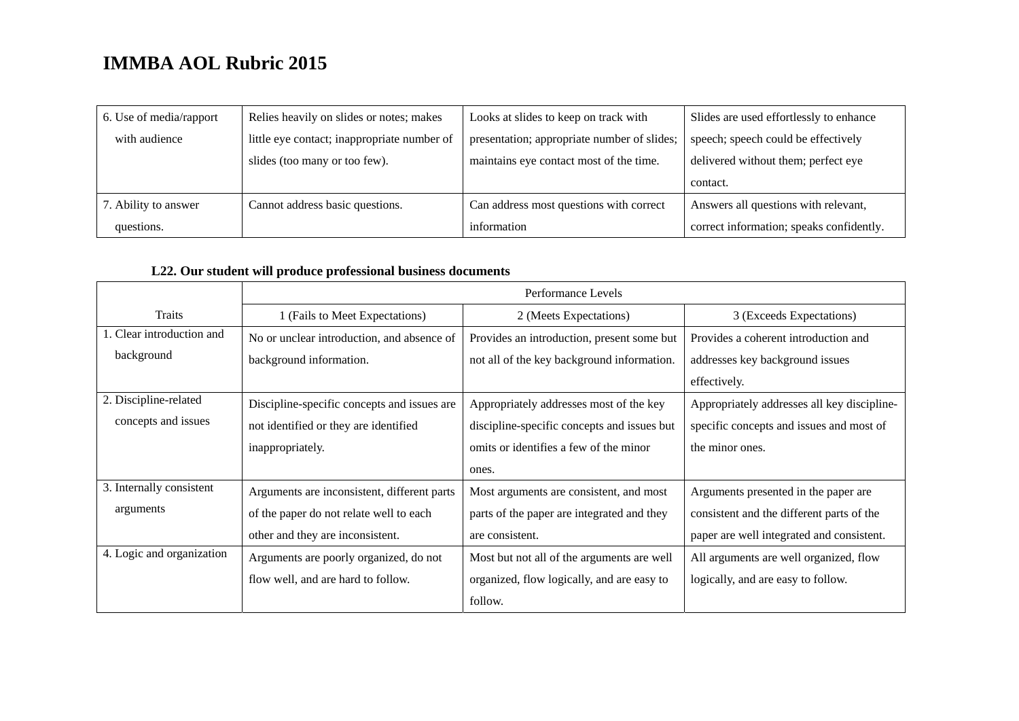| 6. Use of media/rapport | Relies heavily on slides or notes; makes    | Looks at slides to keep on track with       | Slides are used effortlessly to enhance  |
|-------------------------|---------------------------------------------|---------------------------------------------|------------------------------------------|
| with audience           | little eye contact; inappropriate number of | presentation; appropriate number of slides; | speech; speech could be effectively      |
|                         | slides (too many or too few).               | maintains eye contact most of the time.     | delivered without them; perfect eye      |
|                         |                                             |                                             | contact.                                 |
| 7. Ability to answer    | Cannot address basic questions.             | Can address most questions with correct     | Answers all questions with relevant,     |
| questions.              |                                             | information                                 | correct information; speaks confidently. |

### **L22. Our student will produce professional business documents**

|                           | Performance Levels                          |                                             |                                             |
|---------------------------|---------------------------------------------|---------------------------------------------|---------------------------------------------|
| Traits                    | 1 (Fails to Meet Expectations)              | 2 (Meets Expectations)                      | 3 (Exceeds Expectations)                    |
| 1. Clear introduction and | No or unclear introduction, and absence of  | Provides an introduction, present some but  | Provides a coherent introduction and        |
| background                | background information.                     | not all of the key background information.  | addresses key background issues             |
|                           |                                             |                                             | effectively.                                |
| 2. Discipline-related     | Discipline-specific concepts and issues are | Appropriately addresses most of the key     | Appropriately addresses all key discipline- |
| concepts and issues       | not identified or they are identified       | discipline-specific concepts and issues but | specific concepts and issues and most of    |
|                           | inappropriately.                            | omits or identifies a few of the minor      | the minor ones.                             |
|                           |                                             | ones.                                       |                                             |
| 3. Internally consistent  | Arguments are inconsistent, different parts | Most arguments are consistent, and most     | Arguments presented in the paper are        |
| arguments                 | of the paper do not relate well to each     | parts of the paper are integrated and they  | consistent and the different parts of the   |
|                           | other and they are inconsistent.            | are consistent.                             | paper are well integrated and consistent.   |
| 4. Logic and organization | Arguments are poorly organized, do not      | Most but not all of the arguments are well  | All arguments are well organized, flow      |
|                           | flow well, and are hard to follow.          | organized, flow logically, and are easy to  | logically, and are easy to follow.          |
|                           |                                             | follow.                                     |                                             |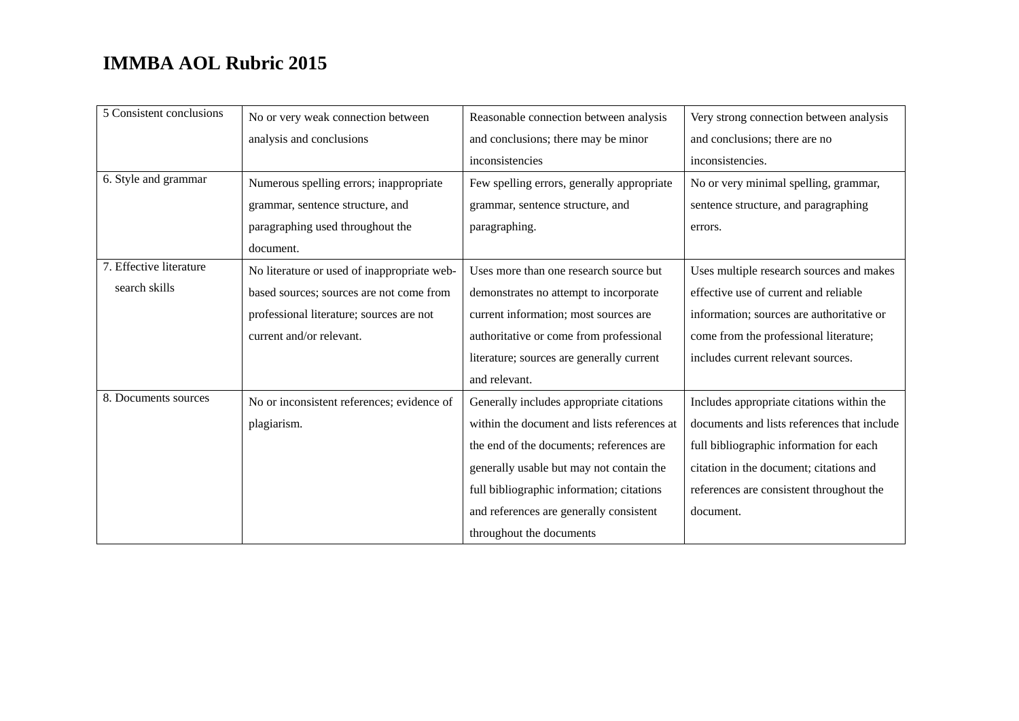| 5 Consistent conclusions | No or very weak connection between          | Reasonable connection between analysis      | Very strong connection between analysis     |
|--------------------------|---------------------------------------------|---------------------------------------------|---------------------------------------------|
|                          | analysis and conclusions                    | and conclusions; there may be minor         | and conclusions; there are no               |
|                          |                                             | inconsistencies                             | inconsistencies.                            |
| 6. Style and grammar     | Numerous spelling errors; inappropriate     | Few spelling errors, generally appropriate  | No or very minimal spelling, grammar,       |
|                          | grammar, sentence structure, and            | grammar, sentence structure, and            | sentence structure, and paragraphing        |
|                          | paragraphing used throughout the            | paragraphing.                               | errors.                                     |
|                          | document.                                   |                                             |                                             |
| 7. Effective literature  | No literature or used of inappropriate web- | Uses more than one research source but      | Uses multiple research sources and makes    |
| search skills            | based sources; sources are not come from    | demonstrates no attempt to incorporate      | effective use of current and reliable       |
|                          | professional literature; sources are not    | current information; most sources are       | information; sources are authoritative or   |
|                          | current and/or relevant.                    | authoritative or come from professional     | come from the professional literature;      |
|                          |                                             | literature; sources are generally current   | includes current relevant sources.          |
|                          |                                             | and relevant.                               |                                             |
| 8. Documents sources     | No or inconsistent references; evidence of  | Generally includes appropriate citations    | Includes appropriate citations within the   |
|                          | plagiarism.                                 | within the document and lists references at | documents and lists references that include |
|                          |                                             | the end of the documents; references are    | full bibliographic information for each     |
|                          |                                             | generally usable but may not contain the    | citation in the document; citations and     |
|                          |                                             | full bibliographic information; citations   | references are consistent throughout the    |
|                          |                                             | and references are generally consistent     | document.                                   |
|                          |                                             | throughout the documents                    |                                             |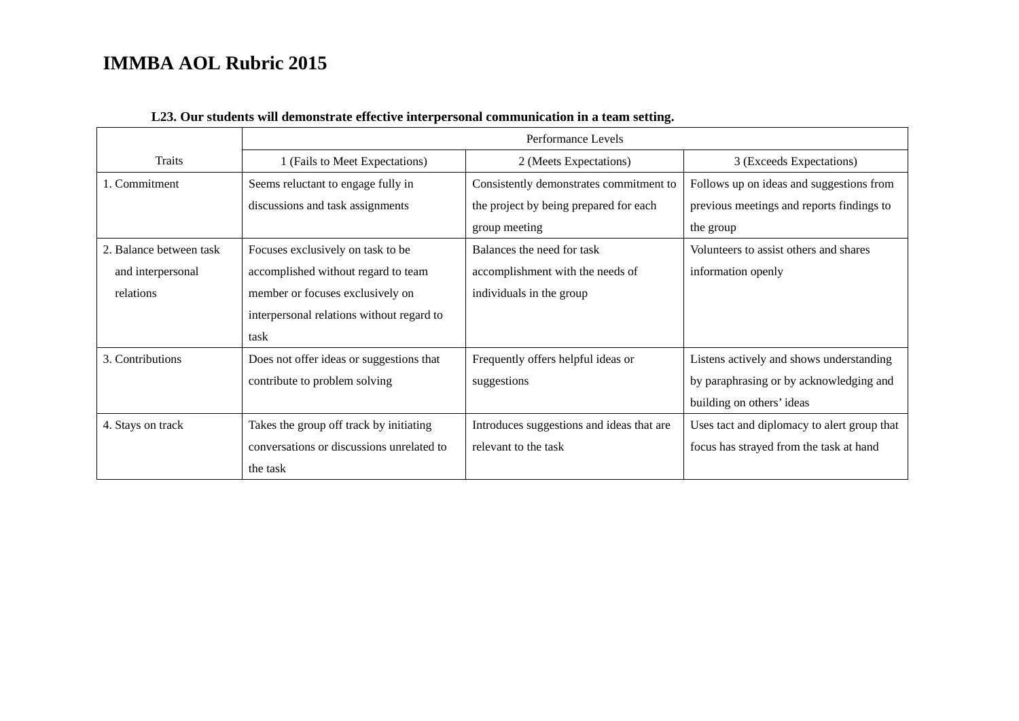|                         | Performance Levels                        |                                           |                                             |
|-------------------------|-------------------------------------------|-------------------------------------------|---------------------------------------------|
| Traits                  | 1 (Fails to Meet Expectations)            | 2 (Meets Expectations)                    | 3 (Exceeds Expectations)                    |
| 1. Commitment           | Seems reluctant to engage fully in        | Consistently demonstrates commitment to   | Follows up on ideas and suggestions from    |
|                         | discussions and task assignments          | the project by being prepared for each    | previous meetings and reports findings to   |
|                         |                                           | group meeting                             | the group                                   |
| 2. Balance between task | Focuses exclusively on task to be         | Balances the need for task                | Volunteers to assist others and shares      |
| and interpersonal       | accomplished without regard to team       | accomplishment with the needs of          | information openly                          |
| relations               | member or focuses exclusively on          | individuals in the group                  |                                             |
|                         | interpersonal relations without regard to |                                           |                                             |
|                         | task                                      |                                           |                                             |
| 3. Contributions        | Does not offer ideas or suggestions that  | Frequently offers helpful ideas or        | Listens actively and shows understanding    |
|                         | contribute to problem solving             | suggestions                               | by paraphrasing or by acknowledging and     |
|                         |                                           |                                           | building on others' ideas                   |
| 4. Stays on track       | Takes the group off track by initiating   | Introduces suggestions and ideas that are | Uses tact and diplomacy to alert group that |
|                         | conversations or discussions unrelated to | relevant to the task                      | focus has strayed from the task at hand     |
|                         | the task                                  |                                           |                                             |

### **L23. Our students will demonstrate effective interpersonal communication in a team setting.**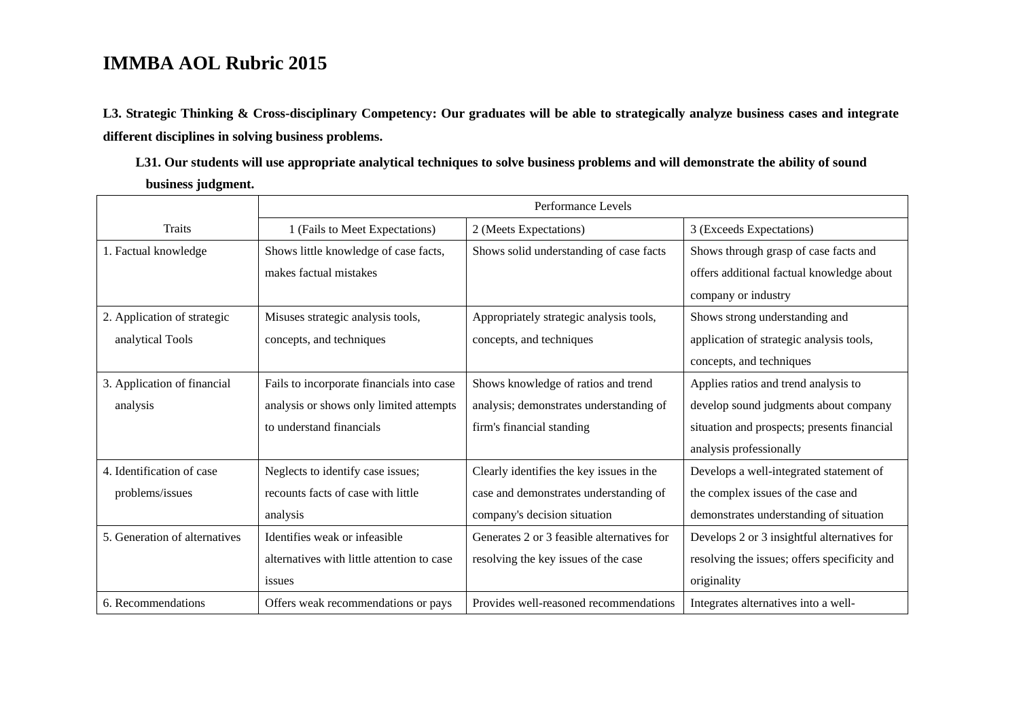**L3. Strategic Thinking & Cross-disciplinary Competency: Our graduates will be able to strategically analyze business cases and integrate different disciplines in solving business problems.** 

**L31. Our students will use appropriate analytical techniques to solve business problems and will demonstrate the ability of sound business judgment.** 

|                               | Performance Levels                         |                                            |                                              |
|-------------------------------|--------------------------------------------|--------------------------------------------|----------------------------------------------|
| <b>Traits</b>                 | 1 (Fails to Meet Expectations)             | 2 (Meets Expectations)                     | 3 (Exceeds Expectations)                     |
| 1. Factual knowledge          | Shows little knowledge of case facts,      | Shows solid understanding of case facts    | Shows through grasp of case facts and        |
|                               | makes factual mistakes                     |                                            | offers additional factual knowledge about    |
|                               |                                            |                                            | company or industry                          |
| 2. Application of strategic   | Misuses strategic analysis tools,          | Appropriately strategic analysis tools,    | Shows strong understanding and               |
| analytical Tools              | concepts, and techniques                   | concepts, and techniques                   | application of strategic analysis tools,     |
|                               |                                            |                                            | concepts, and techniques                     |
| 3. Application of financial   | Fails to incorporate financials into case  | Shows knowledge of ratios and trend        | Applies ratios and trend analysis to         |
| analysis                      | analysis or shows only limited attempts    | analysis; demonstrates understanding of    | develop sound judgments about company        |
|                               | to understand financials                   | firm's financial standing                  | situation and prospects; presents financial  |
|                               |                                            |                                            | analysis professionally                      |
| 4. Identification of case     | Neglects to identify case issues;          | Clearly identifies the key issues in the   | Develops a well-integrated statement of      |
| problems/issues               | recounts facts of case with little         | case and demonstrates understanding of     | the complex issues of the case and           |
|                               | analysis                                   | company's decision situation               | demonstrates understanding of situation      |
| 5. Generation of alternatives | Identifies weak or infeasible.             | Generates 2 or 3 feasible alternatives for | Develops 2 or 3 insightful alternatives for  |
|                               | alternatives with little attention to case | resolving the key issues of the case       | resolving the issues; offers specificity and |
|                               | issues                                     |                                            | originality                                  |
| 6. Recommendations            | Offers weak recommendations or pays        | Provides well-reasoned recommendations     | Integrates alternatives into a well-         |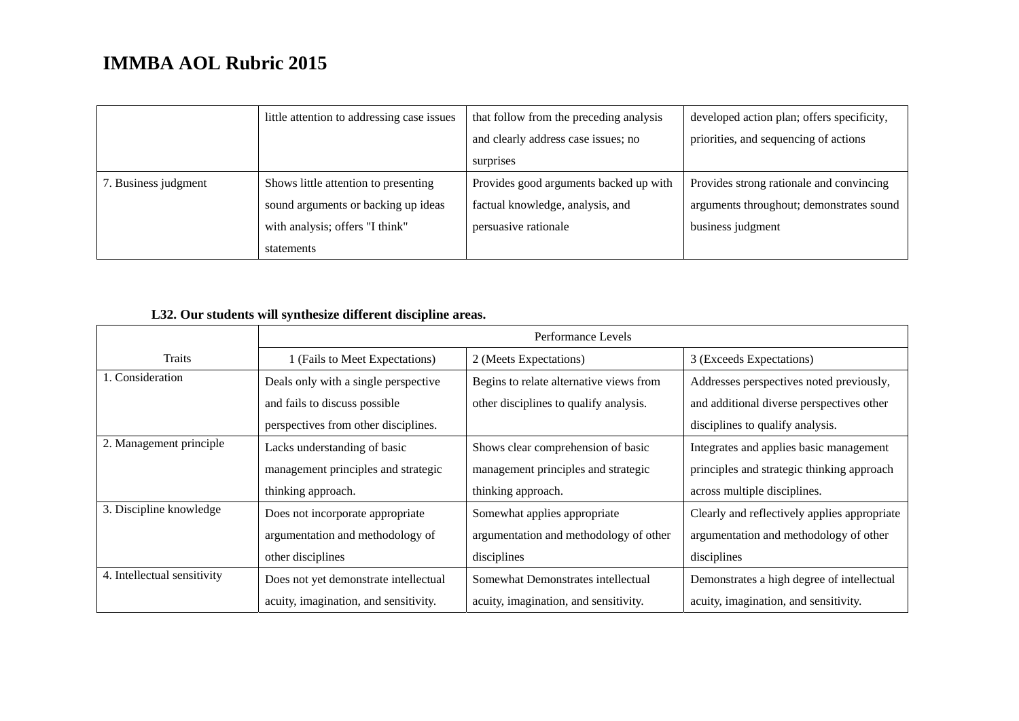|                      | little attention to addressing case issues | that follow from the preceding analysis | developed action plan; offers specificity, |
|----------------------|--------------------------------------------|-----------------------------------------|--------------------------------------------|
|                      |                                            | and clearly address case issues; no     | priorities, and sequencing of actions      |
|                      |                                            | surprises                               |                                            |
| 7. Business judgment | Shows little attention to presenting       | Provides good arguments backed up with  | Provides strong rationale and convincing   |
|                      | sound arguments or backing up ideas        | factual knowledge, analysis, and        | arguments throughout; demonstrates sound   |
|                      | with analysis; offers "I think"            | persuasive rationale                    | business judgment                          |
|                      | statements                                 |                                         |                                            |

### **L32. Our students will synthesize different discipline areas.**

|                             | Performance Levels                    |                                         |                                              |  |
|-----------------------------|---------------------------------------|-----------------------------------------|----------------------------------------------|--|
| <b>Traits</b>               | 1 (Fails to Meet Expectations)        | 2 (Meets Expectations)                  | 3 (Exceeds Expectations)                     |  |
| 1. Consideration            | Deals only with a single perspective  | Begins to relate alternative views from | Addresses perspectives noted previously,     |  |
|                             | and fails to discuss possible         | other disciplines to qualify analysis.  | and additional diverse perspectives other    |  |
|                             | perspectives from other disciplines.  |                                         | disciplines to qualify analysis.             |  |
| 2. Management principle     | Lacks understanding of basic          | Shows clear comprehension of basic      | Integrates and applies basic management      |  |
|                             | management principles and strategic   | management principles and strategic     | principles and strategic thinking approach   |  |
|                             | thinking approach.                    | thinking approach.                      | across multiple disciplines.                 |  |
| 3. Discipline knowledge     | Does not incorporate appropriate      | Somewhat applies appropriate            | Clearly and reflectively applies appropriate |  |
|                             | argumentation and methodology of      | argumentation and methodology of other  | argumentation and methodology of other       |  |
|                             | other disciplines                     | disciplines                             | disciplines                                  |  |
| 4. Intellectual sensitivity | Does not yet demonstrate intellectual | Somewhat Demonstrates intellectual      | Demonstrates a high degree of intellectual   |  |
|                             | acuity, imagination, and sensitivity. | acuity, imagination, and sensitivity.   | acuity, imagination, and sensitivity.        |  |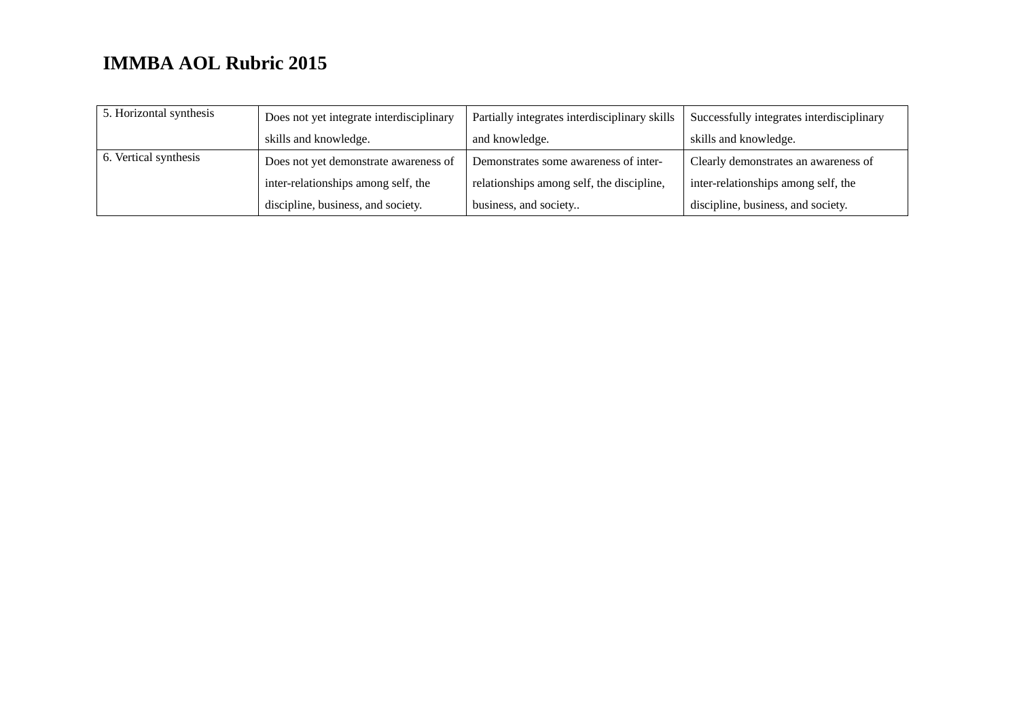| 5. Horizontal synthesis | Does not yet integrate interdisciplinary | Partially integrates interdisciplinary skills | Successfully integrates interdisciplinary |
|-------------------------|------------------------------------------|-----------------------------------------------|-------------------------------------------|
|                         | skills and knowledge.                    | and knowledge.                                | skills and knowledge.                     |
| 6. Vertical synthesis   | Does not yet demonstrate awareness of    | Demonstrates some awareness of inter-         | Clearly demonstrates an awareness of      |
|                         | inter-relationships among self, the      | relationships among self, the discipline,     | inter-relationships among self, the       |
|                         | discipline, business, and society.       | business, and society                         | discipline, business, and society.        |